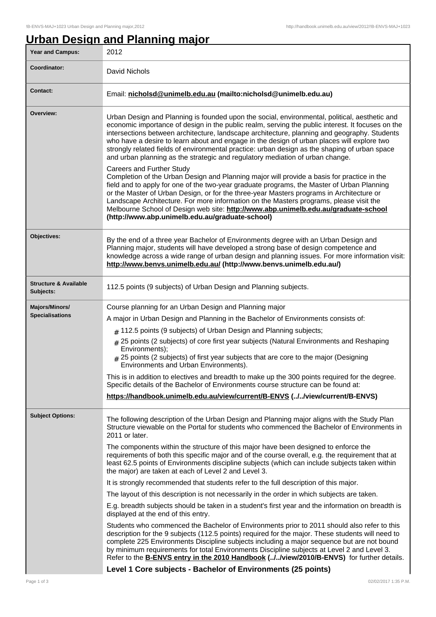## **Urban Design and Planning major**

| <b>Year and Campus:</b>                       | 2012                                                                                                                                                                                                                                                                                                                                                                                                                                                                                                                                                                               |  |  |
|-----------------------------------------------|------------------------------------------------------------------------------------------------------------------------------------------------------------------------------------------------------------------------------------------------------------------------------------------------------------------------------------------------------------------------------------------------------------------------------------------------------------------------------------------------------------------------------------------------------------------------------------|--|--|
| Coordinator:                                  | David Nichols                                                                                                                                                                                                                                                                                                                                                                                                                                                                                                                                                                      |  |  |
| <b>Contact:</b>                               | Email: nicholsd@unimelb.edu.au (mailto:nicholsd@unimelb.edu.au)                                                                                                                                                                                                                                                                                                                                                                                                                                                                                                                    |  |  |
| Overview:                                     | Urban Design and Planning is founded upon the social, environmental, political, aesthetic and<br>economic importance of design in the public realm, serving the public interest. It focuses on the<br>intersections between architecture, landscape architecture, planning and geography. Students<br>who have a desire to learn about and engage in the design of urban places will explore two<br>strongly related fields of environmental practice: urban design as the shaping of urban space<br>and urban planning as the strategic and regulatory mediation of urban change. |  |  |
|                                               | <b>Careers and Further Study</b><br>Completion of the Urban Design and Planning major will provide a basis for practice in the<br>field and to apply for one of the two-year graduate programs, the Master of Urban Planning<br>or the Master of Urban Design, or for the three-year Masters programs in Architecture or<br>Landscape Architecture. For more information on the Masters programs, please visit the<br>Melbourne School of Design web site: http://www.abp.unimelb.edu.au/graduate-school<br>(http://www.abp.unimelb.edu.au/graduate-school)                        |  |  |
| Objectives:                                   | By the end of a three year Bachelor of Environments degree with an Urban Design and<br>Planning major, students will have developed a strong base of design competence and<br>knowledge across a wide range of urban design and planning issues. For more information visit:<br>http://www.benvs.unimelb.edu.au/ (http://www.benvs.unimelb.edu.au/)                                                                                                                                                                                                                                |  |  |
| <b>Structure &amp; Available</b><br>Subjects: | 112.5 points (9 subjects) of Urban Design and Planning subjects.                                                                                                                                                                                                                                                                                                                                                                                                                                                                                                                   |  |  |
| Majors/Minors/<br><b>Specialisations</b>      | Course planning for an Urban Design and Planning major<br>A major in Urban Design and Planning in the Bachelor of Environments consists of:<br>$#$ 112.5 points (9 subjects) of Urban Design and Planning subjects;<br>25 points (2 subjects) of core first year subjects (Natural Environments and Reshaping<br>#<br>Environments);<br>$_{\#}$ 25 points (2 subjects) of first year subjects that are core to the major (Designing<br>Environments and Urban Environments).                                                                                                       |  |  |
|                                               | This is in addition to electives and breadth to make up the 300 points required for the degree.<br>Specific details of the Bachelor of Environments course structure can be found at:                                                                                                                                                                                                                                                                                                                                                                                              |  |  |
|                                               | https://handbook.unimelb.edu.au/view/current/B-ENVS (//view/current/B-ENVS)                                                                                                                                                                                                                                                                                                                                                                                                                                                                                                        |  |  |
| <b>Subject Options:</b>                       | The following description of the Urban Design and Planning major aligns with the Study Plan<br>Structure viewable on the Portal for students who commenced the Bachelor of Environments in<br>2011 or later.                                                                                                                                                                                                                                                                                                                                                                       |  |  |
|                                               | The components within the structure of this major have been designed to enforce the<br>requirements of both this specific major and of the course overall, e.g. the requirement that at<br>least 62.5 points of Environments discipline subjects (which can include subjects taken within<br>the major) are taken at each of Level 2 and Level 3.                                                                                                                                                                                                                                  |  |  |
|                                               | It is strongly recommended that students refer to the full description of this major.                                                                                                                                                                                                                                                                                                                                                                                                                                                                                              |  |  |
|                                               | The layout of this description is not necessarily in the order in which subjects are taken.                                                                                                                                                                                                                                                                                                                                                                                                                                                                                        |  |  |
|                                               | E.g. breadth subjects should be taken in a student's first year and the information on breadth is<br>displayed at the end of this entry.                                                                                                                                                                                                                                                                                                                                                                                                                                           |  |  |
|                                               | Students who commenced the Bachelor of Environments prior to 2011 should also refer to this<br>description for the 9 subjects (112.5 points) required for the major. These students will need to<br>complete 225 Environments Discipline subjects including a major sequence but are not bound<br>by minimum requirements for total Environments Discipline subjects at Level 2 and Level 3.<br>Refer to the <b>B-ENVS entry in the 2010 Handbook (.J.Jview/2010/B-ENVS)</b> for further details.                                                                                  |  |  |
|                                               | Level 1 Core subjects - Bachelor of Environments (25 points)                                                                                                                                                                                                                                                                                                                                                                                                                                                                                                                       |  |  |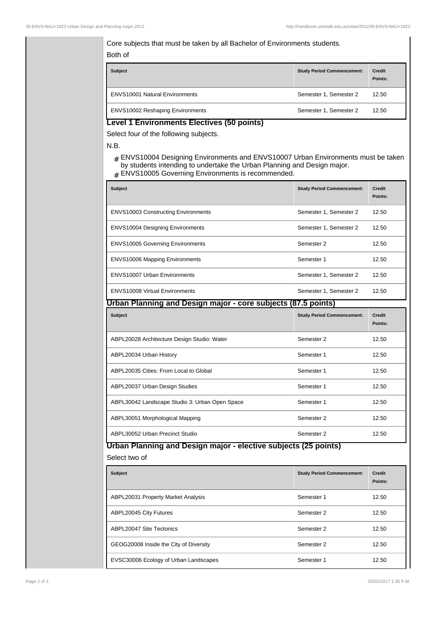## Core subjects that must be taken by all Bachelor of Environments students. Both of

| <b>Subject</b>                          | <b>Study Period Commencement:</b> | <b>Credit</b><br>Points: |
|-----------------------------------------|-----------------------------------|--------------------------|
| <b>ENVS10001 Natural Environments</b>   | Semester 1, Semester 2            | 12.50                    |
| <b>ENVS10002 Reshaping Environments</b> | Semester 1, Semester 2            | 12.50                    |

## **Level 1 Environments Electives (50 points)**

Select four of the following subjects.

N.B.

- # ENVS10004 Designing Environments and ENVS10007 Urban Environments must be taken by students intending to undertake the Urban Planning and Design major.
- # ENVS10005 Governing Environments is recommended.

| <b>Subject</b>                                                  | <b>Study Period Commencement:</b> | <b>Credit</b><br>Points: |  |  |  |
|-----------------------------------------------------------------|-----------------------------------|--------------------------|--|--|--|
| <b>ENVS10003 Constructing Environments</b>                      | Semester 1, Semester 2            | 12.50                    |  |  |  |
| <b>ENVS10004 Designing Environments</b>                         | Semester 1, Semester 2            | 12.50                    |  |  |  |
| <b>ENVS10005 Governing Environments</b>                         | Semester 2                        | 12.50                    |  |  |  |
| <b>ENVS10006 Mapping Environments</b>                           | Semester 1                        | 12.50                    |  |  |  |
| <b>ENVS10007 Urban Environments</b>                             | Semester 1, Semester 2            | 12.50                    |  |  |  |
| <b>ENVS10008 Virtual Environments</b>                           | Semester 1, Semester 2            | 12.50                    |  |  |  |
| Urban Planning and Design major - core subjects (87.5 points)   |                                   |                          |  |  |  |
| <b>Subject</b>                                                  | <b>Study Period Commencement:</b> | <b>Credit</b><br>Points: |  |  |  |
| ABPL20028 Architecture Design Studio: Water                     | Semester 2                        | 12.50                    |  |  |  |
| ABPL20034 Urban History                                         | Semester 1                        | 12.50                    |  |  |  |
| ABPL20035 Cities: From Local to Global                          | Semester 1                        | 12.50                    |  |  |  |
| ABPL20037 Urban Design Studies                                  | Semester 1                        | 12.50                    |  |  |  |
| ABPL30042 Landscape Studio 3: Urban Open Space                  | Semester 1                        | 12.50                    |  |  |  |
| ABPL30051 Morphological Mapping                                 | Semester 2                        | 12.50                    |  |  |  |
| ABPL30052 Urban Precinct Studio                                 | Semester 2                        | 12.50                    |  |  |  |
| Urban Planning and Design major - elective subjects (25 points) |                                   |                          |  |  |  |
| Select two of                                                   |                                   |                          |  |  |  |

| <b>Subject</b>                         | <b>Study Period Commencement:</b> | <b>Credit</b><br>Points: |
|----------------------------------------|-----------------------------------|--------------------------|
| ABPL20031 Property Market Analysis     | Semester 1                        | 12.50                    |
| ABPL20045 City Futures                 | Semester 2                        | 12.50                    |
| ABPL20047 Site Tectonics               | Semester 2                        | 12.50                    |
| GEOG20008 Inside the City of Diversity | Semester 2                        | 12.50                    |
| EVSC30006 Ecology of Urban Landscapes  | Semester 1                        | 12.50                    |